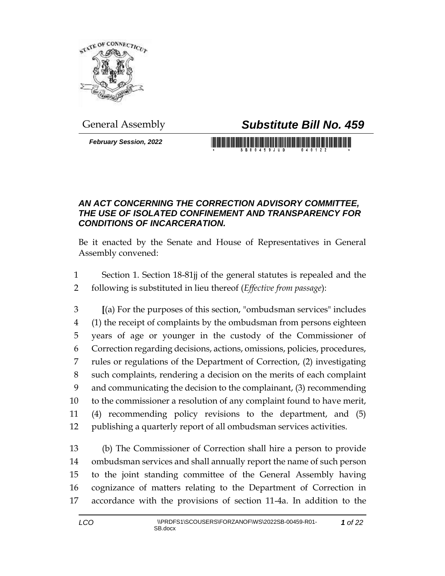

## General Assembly *Substitute Bill No. 459*

*February Session, 2022*

## 

## *AN ACT CONCERNING THE CORRECTION ADVISORY COMMITTEE, THE USE OF ISOLATED CONFINEMENT AND TRANSPARENCY FOR CONDITIONS OF INCARCERATION.*

Be it enacted by the Senate and House of Representatives in General Assembly convened:

 Section 1. Section 18-81jj of the general statutes is repealed and the following is substituted in lieu thereof (*Effective from passage*):

 **[**(a) For the purposes of this section, "ombudsman services" includes (1) the receipt of complaints by the ombudsman from persons eighteen years of age or younger in the custody of the Commissioner of Correction regarding decisions, actions, omissions, policies, procedures, rules or regulations of the Department of Correction, (2) investigating such complaints, rendering a decision on the merits of each complaint and communicating the decision to the complainant, (3) recommending to the commissioner a resolution of any complaint found to have merit, (4) recommending policy revisions to the department, and (5) publishing a quarterly report of all ombudsman services activities.

 (b) The Commissioner of Correction shall hire a person to provide ombudsman services and shall annually report the name of such person to the joint standing committee of the General Assembly having cognizance of matters relating to the Department of Correction in accordance with the provisions of section 11-4a. In addition to the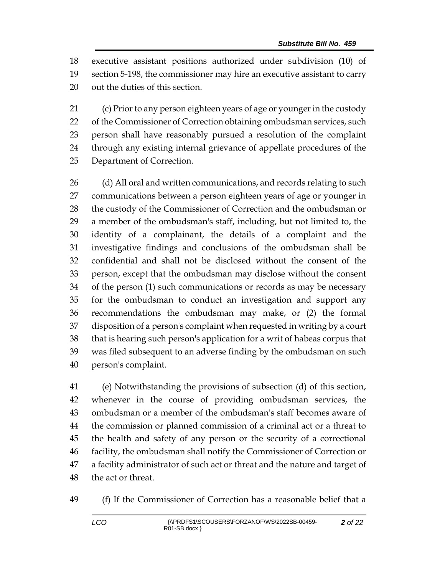executive assistant positions authorized under subdivision (10) of section 5-198, the commissioner may hire an executive assistant to carry out the duties of this section.

 (c) Prior to any person eighteen years of age or younger in the custody 22 of the Commissioner of Correction obtaining ombudsman services, such person shall have reasonably pursued a resolution of the complaint through any existing internal grievance of appellate procedures of the Department of Correction.

26 (d) All oral and written communications, and records relating to such communications between a person eighteen years of age or younger in the custody of the Commissioner of Correction and the ombudsman or a member of the ombudsman's staff, including, but not limited to, the identity of a complainant, the details of a complaint and the investigative findings and conclusions of the ombudsman shall be confidential and shall not be disclosed without the consent of the person, except that the ombudsman may disclose without the consent of the person (1) such communications or records as may be necessary for the ombudsman to conduct an investigation and support any recommendations the ombudsman may make, or (2) the formal disposition of a person's complaint when requested in writing by a court that is hearing such person's application for a writ of habeas corpus that was filed subsequent to an adverse finding by the ombudsman on such person's complaint.

 (e) Notwithstanding the provisions of subsection (d) of this section, whenever in the course of providing ombudsman services, the ombudsman or a member of the ombudsman's staff becomes aware of the commission or planned commission of a criminal act or a threat to the health and safety of any person or the security of a correctional facility, the ombudsman shall notify the Commissioner of Correction or a facility administrator of such act or threat and the nature and target of the act or threat.

(f) If the Commissioner of Correction has a reasonable belief that a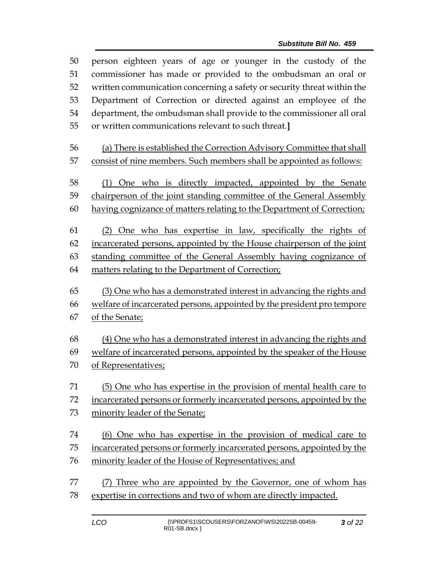| 50       | person eighteen years of age or younger in the custody of the                                                                                 |  |  |  |  |
|----------|-----------------------------------------------------------------------------------------------------------------------------------------------|--|--|--|--|
| 51<br>52 | commissioner has made or provided to the ombudsman an oral or<br>written communication concerning a safety or security threat within the      |  |  |  |  |
| 53       | Department of Correction or directed against an employee of the                                                                               |  |  |  |  |
| 54       | department, the ombudsman shall provide to the commissioner all oral                                                                          |  |  |  |  |
| 55       | or written communications relevant to such threat.]                                                                                           |  |  |  |  |
| 56       | (a) There is established the Correction Advisory Committee that shall                                                                         |  |  |  |  |
| 57       | consist of nine members. Such members shall be appointed as follows:                                                                          |  |  |  |  |
| 58       | (1) One who is directly impacted, appointed by the Senate                                                                                     |  |  |  |  |
| 59       | chairperson of the joint standing committee of the General Assembly                                                                           |  |  |  |  |
| 60       | having cognizance of matters relating to the Department of Correction;                                                                        |  |  |  |  |
| 61       | (2) One who has expertise in law, specifically the rights of                                                                                  |  |  |  |  |
| 62       | incarcerated persons, appointed by the House chairperson of the joint                                                                         |  |  |  |  |
| 63       | standing committee of the General Assembly having cognizance of                                                                               |  |  |  |  |
| 64       | matters relating to the Department of Correction;                                                                                             |  |  |  |  |
|          |                                                                                                                                               |  |  |  |  |
|          |                                                                                                                                               |  |  |  |  |
| 65<br>66 | (3) One who has a demonstrated interest in advancing the rights and                                                                           |  |  |  |  |
| 67       | welfare of incarcerated persons, appointed by the president pro tempore<br>of the Senate;                                                     |  |  |  |  |
| 68       |                                                                                                                                               |  |  |  |  |
| 69       | (4) One who has a demonstrated interest in advancing the rights and<br>welfare of incarcerated persons, appointed by the speaker of the House |  |  |  |  |
| 70       | of Representatives;                                                                                                                           |  |  |  |  |
| 71       | (5) One who has expertise in the provision of mental health care to                                                                           |  |  |  |  |
| 72       | incarcerated persons or formerly incarcerated persons, appointed by the                                                                       |  |  |  |  |
| 73       | minority leader of the Senate;                                                                                                                |  |  |  |  |
| 74       | (6) One who has expertise in the provision of medical care to                                                                                 |  |  |  |  |
| 75       | incarcerated persons or formerly incarcerated persons, appointed by the                                                                       |  |  |  |  |
| 76       | minority leader of the House of Representatives; and                                                                                          |  |  |  |  |
| 77       | (7) Three who are appointed by the Governor, one of whom has                                                                                  |  |  |  |  |
| 78       | expertise in corrections and two of whom are directly impacted.                                                                               |  |  |  |  |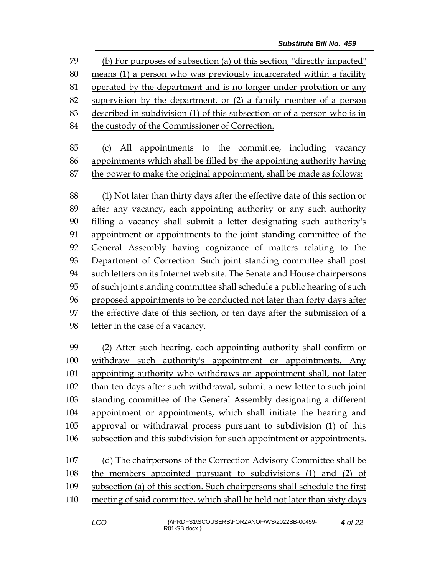(b) For purposes of subsection (a) of this section, "directly impacted" means (1) a person who was previously incarcerated within a facility operated by the department and is no longer under probation or any supervision by the department, or (2) a family member of a person described in subdivision (1) of this subsection or of a person who is in 84 the custody of the Commissioner of Correction. (c) All appointments to the committee, including vacancy appointments which shall be filled by the appointing authority having the power to make the original appointment, shall be made as follows: (1) Not later than thirty days after the effective date of this section or after any vacancy, each appointing authority or any such authority filling a vacancy shall submit a letter designating such authority's appointment or appointments to the joint standing committee of the General Assembly having cognizance of matters relating to the Department of Correction. Such joint standing committee shall post such letters on its Internet web site. The Senate and House chairpersons of such joint standing committee shall schedule a public hearing of such proposed appointments to be conducted not later than forty days after the effective date of this section, or ten days after the submission of a letter in the case of a vacancy. (2) After such hearing, each appointing authority shall confirm or withdraw such authority's appointment or appointments. Any appointing authority who withdraws an appointment shall, not later than ten days after such withdrawal, submit a new letter to such joint standing committee of the General Assembly designating a different appointment or appointments, which shall initiate the hearing and approval or withdrawal process pursuant to subdivision (1) of this subsection and this subdivision for such appointment or appointments. (d) The chairpersons of the Correction Advisory Committee shall be the members appointed pursuant to subdivisions (1) and (2) of subsection (a) of this section. Such chairpersons shall schedule the first meeting of said committee, which shall be held not later than sixty days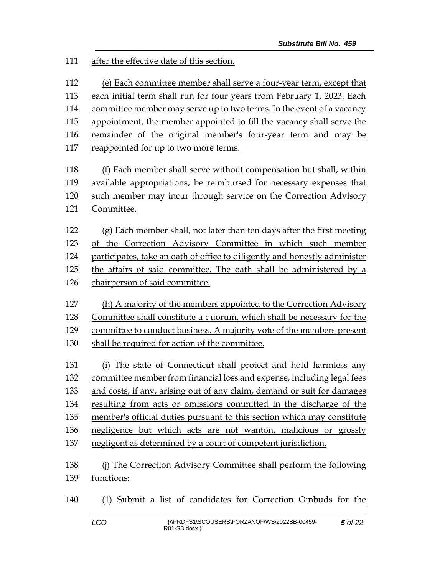after the effective date of this section.

(e) Each committee member shall serve a four-year term, except that

each initial term shall run for four years from February 1, 2023. Each

committee member may serve up to two terms. In the event of a vacancy

appointment, the member appointed to fill the vacancy shall serve the

remainder of the original member's four-year term and may be

reappointed for up to two more terms.

 (f) Each member shall serve without compensation but shall, within available appropriations, be reimbursed for necessary expenses that such member may incur through service on the Correction Advisory Committee.

 $(g)$  Each member shall, not later than ten days after the first meeting of the Correction Advisory Committee in which such member participates, take an oath of office to diligently and honestly administer the affairs of said committee. The oath shall be administered by a chairperson of said committee.

 (h) A majority of the members appointed to the Correction Advisory Committee shall constitute a quorum, which shall be necessary for the committee to conduct business. A majority vote of the members present shall be required for action of the committee.

 (i) The state of Connecticut shall protect and hold harmless any committee member from financial loss and expense, including legal fees and costs, if any, arising out of any claim, demand or suit for damages resulting from acts or omissions committed in the discharge of the member's official duties pursuant to this section which may constitute negligence but which acts are not wanton, malicious or grossly negligent as determined by a court of competent jurisdiction.

 (j) The Correction Advisory Committee shall perform the following functions:

(1) Submit a list of candidates for Correction Ombuds for the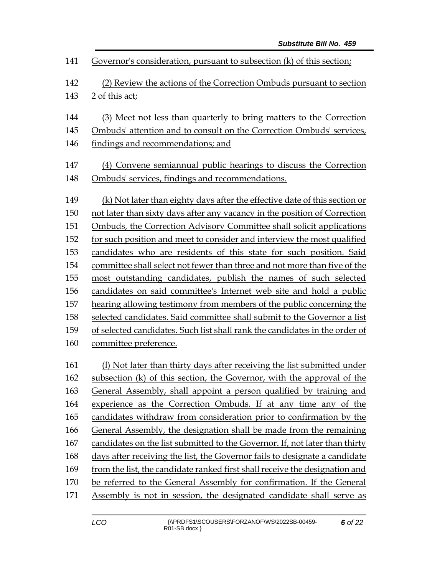| 141 | Governor's consideration, pursuant to subsection (k) of this section;       |  |  |  |  |
|-----|-----------------------------------------------------------------------------|--|--|--|--|
| 142 | (2) Review the actions of the Correction Ombuds pursuant to section         |  |  |  |  |
| 143 | 2 of this act;                                                              |  |  |  |  |
| 144 | (3) Meet not less than quarterly to bring matters to the Correction         |  |  |  |  |
| 145 | Ombuds' attention and to consult on the Correction Ombuds' services,        |  |  |  |  |
| 146 | findings and recommendations; and                                           |  |  |  |  |
| 147 | (4) Convene semiannual public hearings to discuss the Correction            |  |  |  |  |
| 148 | Ombuds' services, findings and recommendations.                             |  |  |  |  |
| 149 | (k) Not later than eighty days after the effective date of this section or  |  |  |  |  |
| 150 | not later than sixty days after any vacancy in the position of Correction   |  |  |  |  |
| 151 | <b>Ombuds, the Correction Advisory Committee shall solicit applications</b> |  |  |  |  |
| 152 | for such position and meet to consider and interview the most qualified     |  |  |  |  |
| 153 | candidates who are residents of this state for such position. Said          |  |  |  |  |
| 154 | committee shall select not fewer than three and not more than five of the   |  |  |  |  |
| 155 | most outstanding candidates, publish the names of such selected             |  |  |  |  |
| 156 | candidates on said committee's Internet web site and hold a public          |  |  |  |  |
| 157 | hearing allowing testimony from members of the public concerning the        |  |  |  |  |
| 158 | selected candidates. Said committee shall submit to the Governor a list     |  |  |  |  |
| 159 | of selected candidates. Such list shall rank the candidates in the order of |  |  |  |  |
| 160 | committee preference.                                                       |  |  |  |  |
| 161 | (1) Not later than thirty days after receiving the list submitted under     |  |  |  |  |
| 162 | subsection (k) of this section, the Governor, with the approval of the      |  |  |  |  |
| 163 | General Assembly, shall appoint a person qualified by training and          |  |  |  |  |
| 164 | experience as the Correction Ombuds. If at any time any of the              |  |  |  |  |
| 165 | candidates withdraw from consideration prior to confirmation by the         |  |  |  |  |
| 166 | General Assembly, the designation shall be made from the remaining          |  |  |  |  |
| 167 | candidates on the list submitted to the Governor. If, not later than thirty |  |  |  |  |
| 168 | days after receiving the list, the Governor fails to designate a candidate  |  |  |  |  |
| 169 | from the list, the candidate ranked first shall receive the designation and |  |  |  |  |
| 170 | be referred to the General Assembly for confirmation. If the General        |  |  |  |  |
| 171 | Assembly is not in session, the designated candidate shall serve as         |  |  |  |  |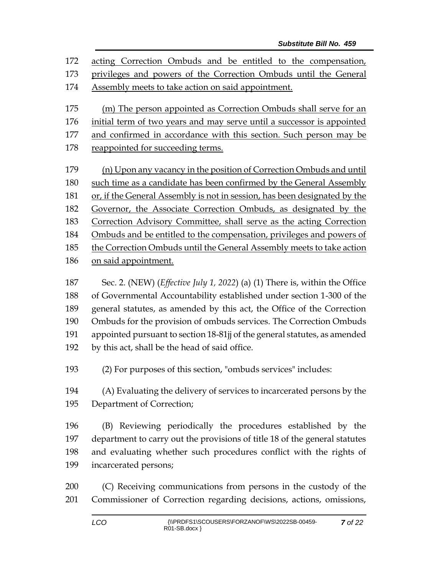acting Correction Ombuds and be entitled to the compensation, privileges and powers of the Correction Ombuds until the General Assembly meets to take action on said appointment. (m) The person appointed as Correction Ombuds shall serve for an initial term of two years and may serve until a successor is appointed 177 and confirmed in accordance with this section. Such person may be reappointed for succeeding terms. (n) Upon any vacancy in the position of Correction Ombuds and until such time as a candidate has been confirmed by the General Assembly or, if the General Assembly is not in session, has been designated by the Governor, the Associate Correction Ombuds, as designated by the Correction Advisory Committee, shall serve as the acting Correction Ombuds and be entitled to the compensation, privileges and powers of the Correction Ombuds until the General Assembly meets to take action on said appointment.

 Sec. 2. (NEW) (*Effective July 1, 2022*) (a) (1) There is, within the Office of Governmental Accountability established under section 1-300 of the general statutes, as amended by this act, the Office of the Correction Ombuds for the provision of ombuds services. The Correction Ombuds appointed pursuant to section 18-81jj of the general statutes, as amended by this act, shall be the head of said office.

(2) For purposes of this section, "ombuds services" includes:

 (A) Evaluating the delivery of services to incarcerated persons by the Department of Correction;

 (B) Reviewing periodically the procedures established by the department to carry out the provisions of title 18 of the general statutes and evaluating whether such procedures conflict with the rights of incarcerated persons;

 (C) Receiving communications from persons in the custody of the Commissioner of Correction regarding decisions, actions, omissions,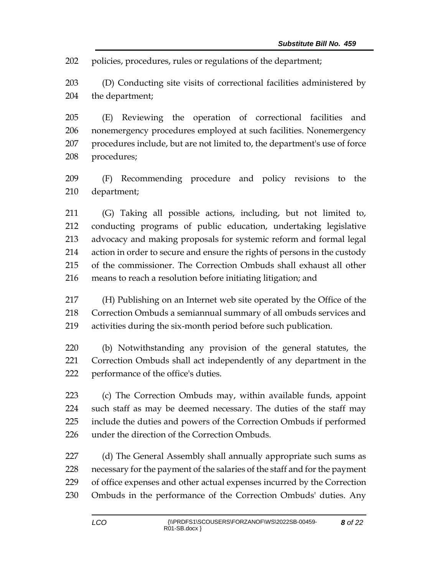policies, procedures, rules or regulations of the department;

 (D) Conducting site visits of correctional facilities administered by the department;

 (E) Reviewing the operation of correctional facilities and nonemergency procedures employed at such facilities. Nonemergency procedures include, but are not limited to, the department's use of force procedures;

 (F) Recommending procedure and policy revisions to the department;

 (G) Taking all possible actions, including, but not limited to, conducting programs of public education, undertaking legislative advocacy and making proposals for systemic reform and formal legal action in order to secure and ensure the rights of persons in the custody of the commissioner. The Correction Ombuds shall exhaust all other means to reach a resolution before initiating litigation; and

 (H) Publishing on an Internet web site operated by the Office of the Correction Ombuds a semiannual summary of all ombuds services and activities during the six-month period before such publication.

 (b) Notwithstanding any provision of the general statutes, the Correction Ombuds shall act independently of any department in the performance of the office's duties.

 (c) The Correction Ombuds may, within available funds, appoint such staff as may be deemed necessary. The duties of the staff may include the duties and powers of the Correction Ombuds if performed under the direction of the Correction Ombuds.

227 (d) The General Assembly shall annually appropriate such sums as necessary for the payment of the salaries of the staff and for the payment of office expenses and other actual expenses incurred by the Correction Ombuds in the performance of the Correction Ombuds' duties. Any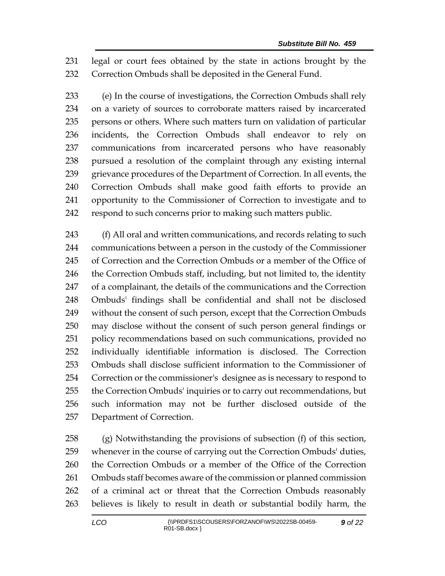legal or court fees obtained by the state in actions brought by the Correction Ombuds shall be deposited in the General Fund.

 (e) In the course of investigations, the Correction Ombuds shall rely on a variety of sources to corroborate matters raised by incarcerated persons or others. Where such matters turn on validation of particular incidents, the Correction Ombuds shall endeavor to rely on communications from incarcerated persons who have reasonably pursued a resolution of the complaint through any existing internal grievance procedures of the Department of Correction. In all events, the Correction Ombuds shall make good faith efforts to provide an opportunity to the Commissioner of Correction to investigate and to respond to such concerns prior to making such matters public.

243 (f) All oral and written communications, and records relating to such communications between a person in the custody of the Commissioner of Correction and the Correction Ombuds or a member of the Office of 246 the Correction Ombuds staff, including, but not limited to, the identity of a complainant, the details of the communications and the Correction Ombuds' findings shall be confidential and shall not be disclosed without the consent of such person, except that the Correction Ombuds may disclose without the consent of such person general findings or policy recommendations based on such communications, provided no individually identifiable information is disclosed. The Correction Ombuds shall disclose sufficient information to the Commissioner of Correction or the commissioner's designee as is necessary to respond to the Correction Ombuds' inquiries or to carry out recommendations, but such information may not be further disclosed outside of the Department of Correction.

 (g) Notwithstanding the provisions of subsection (f) of this section, whenever in the course of carrying out the Correction Ombuds' duties, the Correction Ombuds or a member of the Office of the Correction Ombuds staff becomes aware of the commission or planned commission of a criminal act or threat that the Correction Ombuds reasonably believes is likely to result in death or substantial bodily harm, the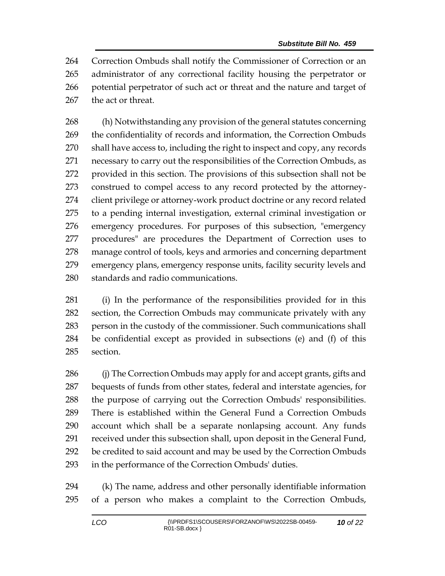Correction Ombuds shall notify the Commissioner of Correction or an administrator of any correctional facility housing the perpetrator or potential perpetrator of such act or threat and the nature and target of the act or threat.

 (h) Notwithstanding any provision of the general statutes concerning the confidentiality of records and information, the Correction Ombuds shall have access to, including the right to inspect and copy, any records necessary to carry out the responsibilities of the Correction Ombuds, as provided in this section. The provisions of this subsection shall not be construed to compel access to any record protected by the attorney- client privilege or attorney-work product doctrine or any record related to a pending internal investigation, external criminal investigation or emergency procedures. For purposes of this subsection, "emergency procedures" are procedures the Department of Correction uses to manage control of tools, keys and armories and concerning department emergency plans, emergency response units, facility security levels and standards and radio communications.

 (i) In the performance of the responsibilities provided for in this section, the Correction Ombuds may communicate privately with any person in the custody of the commissioner. Such communications shall be confidential except as provided in subsections (e) and (f) of this section.

 (j) The Correction Ombuds may apply for and accept grants, gifts and bequests of funds from other states, federal and interstate agencies, for the purpose of carrying out the Correction Ombuds' responsibilities. There is established within the General Fund a Correction Ombuds account which shall be a separate nonlapsing account. Any funds received under this subsection shall, upon deposit in the General Fund, be credited to said account and may be used by the Correction Ombuds in the performance of the Correction Ombuds' duties.

 (k) The name, address and other personally identifiable information of a person who makes a complaint to the Correction Ombuds,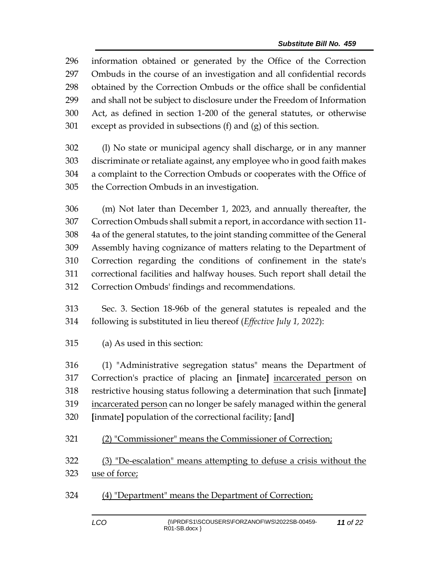information obtained or generated by the Office of the Correction Ombuds in the course of an investigation and all confidential records obtained by the Correction Ombuds or the office shall be confidential and shall not be subject to disclosure under the Freedom of Information Act, as defined in section 1-200 of the general statutes, or otherwise except as provided in subsections (f) and (g) of this section.

 (l) No state or municipal agency shall discharge, or in any manner discriminate or retaliate against, any employee who in good faith makes a complaint to the Correction Ombuds or cooperates with the Office of the Correction Ombuds in an investigation.

 (m) Not later than December 1, 2023, and annually thereafter, the Correction Ombuds shall submit a report, in accordance with section 11- 4a of the general statutes, to the joint standing committee of the General Assembly having cognizance of matters relating to the Department of Correction regarding the conditions of confinement in the state's correctional facilities and halfway houses. Such report shall detail the Correction Ombuds' findings and recommendations.

 Sec. 3. Section 18-96b of the general statutes is repealed and the following is substituted in lieu thereof (*Effective July 1, 2022*):

(a) As used in this section:

 (1) "Administrative segregation status" means the Department of Correction's practice of placing an **[**inmate**]** incarcerated person on restrictive housing status following a determination that such **[**inmate**]** incarcerated person can no longer be safely managed within the general **[**inmate**]** population of the correctional facility; **[**and**]**

(2) "Commissioner" means the Commissioner of Correction;

 (3) "De-escalation" means attempting to defuse a crisis without the use of force;

(4) "Department" means the Department of Correction;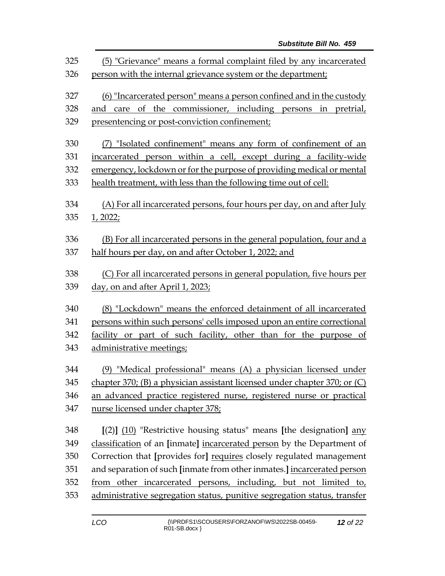| 325<br>326        | (5) "Grievance" means a formal complaint filed by any incarcerated<br>person with the internal grievance system or the department;                                                    |  |  |  |
|-------------------|---------------------------------------------------------------------------------------------------------------------------------------------------------------------------------------|--|--|--|
| 327<br>328<br>329 | (6) "Incarcerated person" means a person confined and in the custody<br>and care of the commissioner, including persons in pretrial,<br>presentencing or post-conviction confinement; |  |  |  |
| 330               | (7) "Isolated confinement" means any form of confinement of an                                                                                                                        |  |  |  |
| 331               | incarcerated person within a cell, except during a facility-wide                                                                                                                      |  |  |  |
| 332               | emergency, lockdown or for the purpose of providing medical or mental                                                                                                                 |  |  |  |
| 333               | health treatment, with less than the following time out of cell:                                                                                                                      |  |  |  |
| 334<br>335        | (A) For all incarcerated persons, four hours per day, on and after July<br>1, 2022;                                                                                                   |  |  |  |
| 336               | (B) For all incarcerated persons in the general population, four and a                                                                                                                |  |  |  |
| 337               | half hours per day, on and after October 1, 2022; and                                                                                                                                 |  |  |  |
| 338               | (C) For all incarcerated persons in general population, five hours per                                                                                                                |  |  |  |
| 339               | day, on and after April 1, 2023;                                                                                                                                                      |  |  |  |
| 340               | (8) "Lockdown" means the enforced detainment of all incarcerated                                                                                                                      |  |  |  |
| 341               | persons within such persons' cells imposed upon an entire correctional                                                                                                                |  |  |  |
| 342               | facility or part of such facility, other than for the purpose of                                                                                                                      |  |  |  |
| 343               | administrative meetings;                                                                                                                                                              |  |  |  |
| 344               | (9) "Medical professional" means (A) a physician licensed under                                                                                                                       |  |  |  |
| 345               | chapter 370; (B) a physician assistant licensed under chapter 370; or (C)                                                                                                             |  |  |  |
| 346               | an advanced practice registered nurse, registered nurse or practical                                                                                                                  |  |  |  |
| 347               | nurse licensed under chapter 378;                                                                                                                                                     |  |  |  |
| 348               | $[(2)]$ $(10)$ "Restrictive housing status" means [the designation] any                                                                                                               |  |  |  |
| 349               | classification of an [inmate] incarcerated person by the Department of                                                                                                                |  |  |  |
| 350               | Correction that [provides for] requires closely regulated management                                                                                                                  |  |  |  |
| 351               | and separation of such [inmate from other inmates.] incarcerated person                                                                                                               |  |  |  |
| 352               | from other incarcerated persons, including, but not limited to,                                                                                                                       |  |  |  |
| 353               | administrative segregation status, punitive segregation status, transfer                                                                                                              |  |  |  |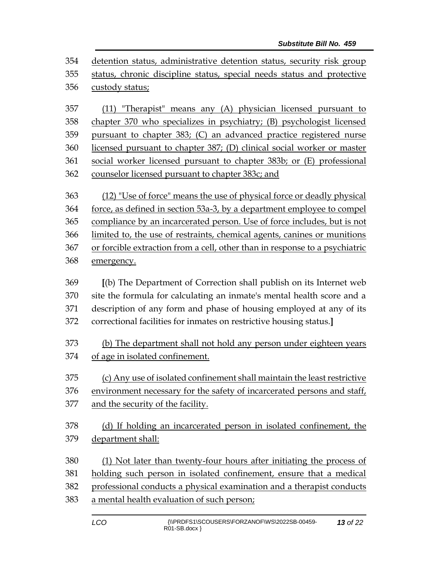detention status, administrative detention status, security risk group status, chronic discipline status, special needs status and protective custody status;

 (11) "Therapist" means any (A) physician licensed pursuant to chapter 370 who specializes in psychiatry; (B) psychologist licensed pursuant to chapter 383; (C) an advanced practice registered nurse licensed pursuant to chapter 387; (D) clinical social worker or master social worker licensed pursuant to chapter 383b; or (E) professional counselor licensed pursuant to chapter 383c; and

 (12) "Use of force" means the use of physical force or deadly physical force, as defined in section 53a-3, by a department employee to compel compliance by an incarcerated person. Use of force includes, but is not limited to, the use of restraints, chemical agents, canines or munitions or forcible extraction from a cell, other than in response to a psychiatric emergency.

 **[**(b) The Department of Correction shall publish on its Internet web site the formula for calculating an inmate's mental health score and a description of any form and phase of housing employed at any of its correctional facilities for inmates on restrictive housing status.**]**

 (b) The department shall not hold any person under eighteen years of age in isolated confinement.

 (c) Any use of isolated confinement shall maintain the least restrictive environment necessary for the safety of incarcerated persons and staff,

and the security of the facility.

 (d) If holding an incarcerated person in isolated confinement, the department shall:

 (1) Not later than twenty-four hours after initiating the process of holding such person in isolated confinement, ensure that a medical

professional conducts a physical examination and a therapist conducts

a mental health evaluation of such person;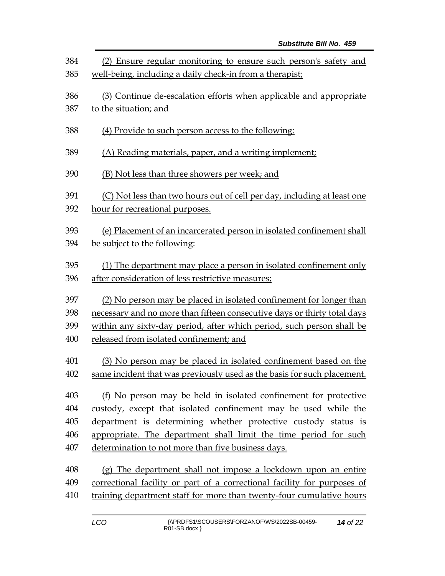| 384 | (2) Ensure regular monitoring to ensure such person's safety and         |  |  |  |  |
|-----|--------------------------------------------------------------------------|--|--|--|--|
| 385 | well-being, including a daily check-in from a therapist;                 |  |  |  |  |
| 386 | (3) Continue de-escalation efforts when applicable and appropriate       |  |  |  |  |
| 387 | to the situation; and                                                    |  |  |  |  |
| 388 | (4) Provide to such person access to the following:                      |  |  |  |  |
| 389 | (A) Reading materials, paper, and a writing implement;                   |  |  |  |  |
| 390 | (B) Not less than three showers per week; and                            |  |  |  |  |
| 391 | (C) Not less than two hours out of cell per day, including at least one  |  |  |  |  |
| 392 | hour for recreational purposes.                                          |  |  |  |  |
| 393 | (e) Placement of an incarcerated person in isolated confinement shall    |  |  |  |  |
| 394 | be subject to the following:                                             |  |  |  |  |
| 395 | (1) The department may place a person in isolated confinement only       |  |  |  |  |
| 396 | after consideration of less restrictive measures;                        |  |  |  |  |
| 397 | (2) No person may be placed in isolated confinement for longer than      |  |  |  |  |
| 398 | necessary and no more than fifteen consecutive days or thirty total days |  |  |  |  |
| 399 | within any sixty-day period, after which period, such person shall be    |  |  |  |  |
| 400 | released from isolated confinement; and                                  |  |  |  |  |
| 401 | (3) No person may be placed in isolated confinement based on the         |  |  |  |  |
| 402 | same incident that was previously used as the basis for such placement.  |  |  |  |  |
| 403 | (f) No person may be held in isolated confinement for protective         |  |  |  |  |
| 404 | custody, except that isolated confinement may be used while the          |  |  |  |  |
| 405 | department is determining whether protective custody status is           |  |  |  |  |
| 406 | appropriate. The department shall limit the time period for such         |  |  |  |  |
| 407 | determination to not more than five business days.                       |  |  |  |  |
| 408 | (g) The department shall not impose a lockdown upon an entire            |  |  |  |  |
| 409 | correctional facility or part of a correctional facility for purposes of |  |  |  |  |
| 410 | training department staff for more than twenty-four cumulative hours     |  |  |  |  |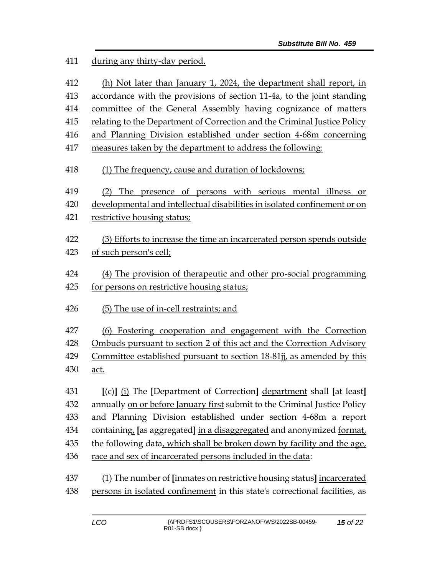during any thirty-day period.

 (h) Not later than January 1, 2024, the department shall report, in accordance with the provisions of section 11-4a, to the joint standing committee of the General Assembly having cognizance of matters relating to the Department of Correction and the Criminal Justice Policy and Planning Division established under section 4-68m concerning measures taken by the department to address the following: (1) The frequency, cause and duration of lockdowns; (2) The presence of persons with serious mental illness or developmental and intellectual disabilities in isolated confinement or on restrictive housing status; (3) Efforts to increase the time an incarcerated person spends outside of such person's cell; (4) The provision of therapeutic and other pro-social programming for persons on restrictive housing status; (5) The use of in-cell restraints; and (6) Fostering cooperation and engagement with the Correction Ombuds pursuant to section 2 of this act and the Correction Advisory Committee established pursuant to section 18-81jj, as amended by this act. **[**(c)**]** (i) The **[**Department of Correction**]** department shall **[**at least**]** annually on or before January first submit to the Criminal Justice Policy and Planning Division established under section 4-68m a report containing, **[**as aggregated**]** in a disaggregated and anonymized format, the following data, which shall be broken down by facility and the age, race and sex of incarcerated persons included in the data: (1) The number of **[**inmates on restrictive housing status**]** incarcerated persons in isolated confinement in this state's correctional facilities, as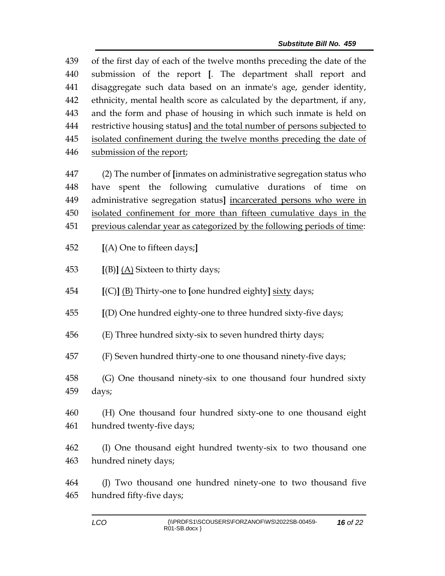of the first day of each of the twelve months preceding the date of the submission of the report **[**. The department shall report and disaggregate such data based on an inmate's age, gender identity, ethnicity, mental health score as calculated by the department, if any, and the form and phase of housing in which such inmate is held on restrictive housing status**]** and the total number of persons subjected to isolated confinement during the twelve months preceding the date of submission of the report;

 (2) The number of **[**inmates on administrative segregation status who have spent the following cumulative durations of time on administrative segregation status**]** incarcerated persons who were in isolated confinement for more than fifteen cumulative days in the previous calendar year as categorized by the following periods of time:

**[**(A) One to fifteen days;**]**

**[**(B)**]** (A) Sixteen to thirty days;

**[**(C)**]** (B) Thirty-one to **[**one hundred eighty**]** sixty days;

**[**(D) One hundred eighty-one to three hundred sixty-five days;

(E) Three hundred sixty-six to seven hundred thirty days;

(F) Seven hundred thirty-one to one thousand ninety-five days;

 (G) One thousand ninety-six to one thousand four hundred sixty days;

 (H) One thousand four hundred sixty-one to one thousand eight hundred twenty-five days;

 (I) One thousand eight hundred twenty-six to two thousand one hundred ninety days;

 (J) Two thousand one hundred ninety-one to two thousand five hundred fifty-five days;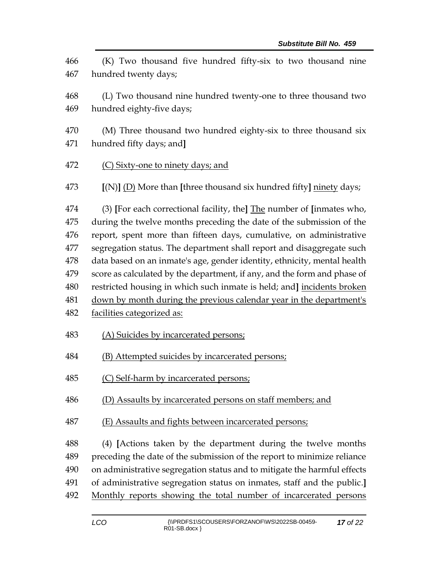(K) Two thousand five hundred fifty-six to two thousand nine hundred twenty days; (L) Two thousand nine hundred twenty-one to three thousand two hundred eighty-five days; (M) Three thousand two hundred eighty-six to three thousand six hundred fifty days; and**]** (C) Sixty-one to ninety days; and **[**(N)**]** (D) More than **[**three thousand six hundred fifty**]** ninety days; (3) **[**For each correctional facility, the**]** The number of **[**inmates who, during the twelve months preceding the date of the submission of the report, spent more than fifteen days, cumulative, on administrative segregation status. The department shall report and disaggregate such data based on an inmate's age, gender identity, ethnicity, mental health score as calculated by the department, if any, and the form and phase of restricted housing in which such inmate is held; and**]** incidents broken down by month during the previous calendar year in the department's facilities categorized as: (A) Suicides by incarcerated persons; (B) Attempted suicides by incarcerated persons; 485 (C) Self-harm by incarcerated persons; (D) Assaults by incarcerated persons on staff members; and (E) Assaults and fights between incarcerated persons; (4) **[**Actions taken by the department during the twelve months preceding the date of the submission of the report to minimize reliance on administrative segregation status and to mitigate the harmful effects of administrative segregation status on inmates, staff and the public.**]** Monthly reports showing the total number of incarcerated persons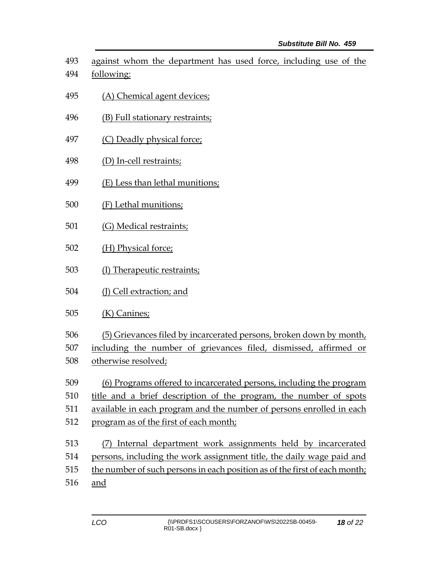against whom the department has used force, including use of the following:

- (A) Chemical agent devices;
- (B) Full stationary restraints;
- 497 (C) Deadly physical force;
- (D) In-cell restraints;
- (E) Less than lethal munitions;
- (F) Lethal munitions;
- (G) Medical restraints;
- (H) Physical force;
- (I) Therapeutic restraints;
- (J) Cell extraction; and
- (K) Canines;
- (5) Grievances filed by incarcerated persons, broken down by month,

including the number of grievances filed, dismissed, affirmed or

- otherwise resolved;
- (6) Programs offered to incarcerated persons, including the program title and a brief description of the program, the number of spots
- available in each program and the number of persons enrolled in each
- 
- program as of the first of each month;
- (7) Internal department work assignments held by incarcerated persons, including the work assignment title, the daily wage paid and the number of such persons in each position as of the first of each month;
- and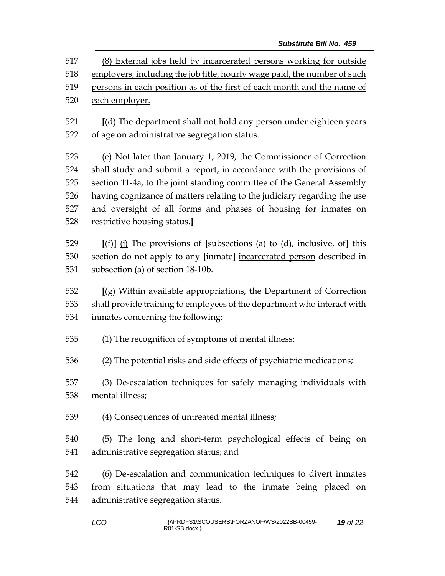*Substitute Bill No. 459* (8) External jobs held by incarcerated persons working for outside employers, including the job title, hourly wage paid, the number of such 519 persons in each position as of the first of each month and the name of 520 each employer. **[**(d) The department shall not hold any person under eighteen years of age on administrative segregation status. (e) Not later than January 1, 2019, the Commissioner of Correction shall study and submit a report, in accordance with the provisions of section 11-4a, to the joint standing committee of the General Assembly having cognizance of matters relating to the judiciary regarding the use and oversight of all forms and phases of housing for inmates on restrictive housing status.**] [**(f)**]** (j) The provisions of **[**subsections (a) to (d), inclusive, of**]** this section do not apply to any **[**inmate**]** incarcerated person described in subsection (a) of section 18-10b. **[**(g) Within available appropriations, the Department of Correction shall provide training to employees of the department who interact with inmates concerning the following: (1) The recognition of symptoms of mental illness; (2) The potential risks and side effects of psychiatric medications; (3) De-escalation techniques for safely managing individuals with mental illness; (4) Consequences of untreated mental illness;

 (5) The long and short-term psychological effects of being on administrative segregation status; and

 (6) De-escalation and communication techniques to divert inmates from situations that may lead to the inmate being placed on administrative segregation status.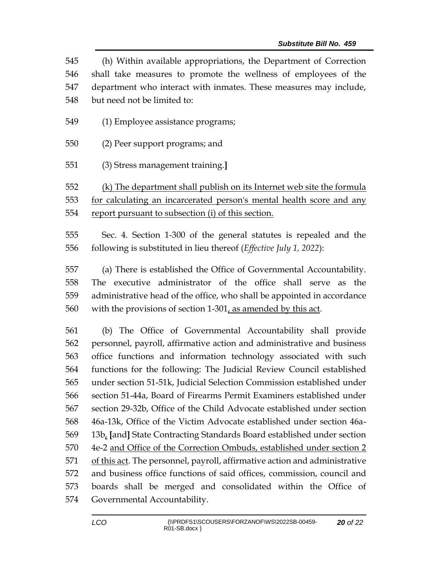(h) Within available appropriations, the Department of Correction shall take measures to promote the wellness of employees of the department who interact with inmates. These measures may include, but need not be limited to:

- (1) Employee assistance programs;
- (2) Peer support programs; and
- (3) Stress management training.**]**

 (k) The department shall publish on its Internet web site the formula for calculating an incarcerated person's mental health score and any report pursuant to subsection (i) of this section.

 Sec. 4. Section 1-300 of the general statutes is repealed and the following is substituted in lieu thereof (*Effective July 1, 2022*):

 (a) There is established the Office of Governmental Accountability. The executive administrator of the office shall serve as the administrative head of the office, who shall be appointed in accordance with the provisions of section 1-301, as amended by this act.

 (b) The Office of Governmental Accountability shall provide personnel, payroll, affirmative action and administrative and business office functions and information technology associated with such functions for the following: The Judicial Review Council established under section 51-51k, Judicial Selection Commission established under section 51-44a, Board of Firearms Permit Examiners established under section 29-32b, Office of the Child Advocate established under section 46a-13k, Office of the Victim Advocate established under section 46a- 13b, **[**and**]** State Contracting Standards Board established under section 4e-2 and Office of the Correction Ombuds, established under section 2 of this act. The personnel, payroll, affirmative action and administrative and business office functions of said offices, commission, council and boards shall be merged and consolidated within the Office of Governmental Accountability.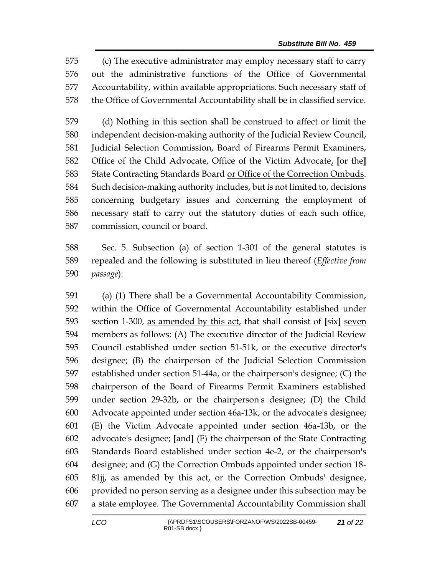(c) The executive administrator may employ necessary staff to carry out the administrative functions of the Office of Governmental Accountability, within available appropriations. Such necessary staff of the Office of Governmental Accountability shall be in classified service.

 (d) Nothing in this section shall be construed to affect or limit the independent decision-making authority of the Judicial Review Council, Judicial Selection Commission, Board of Firearms Permit Examiners, Office of the Child Advocate, Office of the Victim Advocate, **[**or the**]** State Contracting Standards Board or Office of the Correction Ombuds. Such decision-making authority includes, but is not limited to, decisions concerning budgetary issues and concerning the employment of necessary staff to carry out the statutory duties of each such office, commission, council or board.

 Sec. 5. Subsection (a) of section 1-301 of the general statutes is repealed and the following is substituted in lieu thereof (*Effective from passage*):

 (a) (1) There shall be a Governmental Accountability Commission, within the Office of Governmental Accountability established under section 1-300, as amended by this act, that shall consist of **[**six**]** seven members as follows: (A) The executive director of the Judicial Review Council established under section 51-51k, or the executive director's designee; (B) the chairperson of the Judicial Selection Commission established under section 51-44a, or the chairperson's designee; (C) the chairperson of the Board of Firearms Permit Examiners established under section 29-32b, or the chairperson's designee; (D) the Child Advocate appointed under section 46a-13k, or the advocate's designee; (E) the Victim Advocate appointed under section 46a-13b, or the advocate's designee; **[**and**]** (F) the chairperson of the State Contracting Standards Board established under section 4e-2, or the chairperson's designee; and (G) the Correction Ombuds appointed under section 18- 81jj, as amended by this act, or the Correction Ombuds' designee, provided no person serving as a designee under this subsection may be a state employee. The Governmental Accountability Commission shall